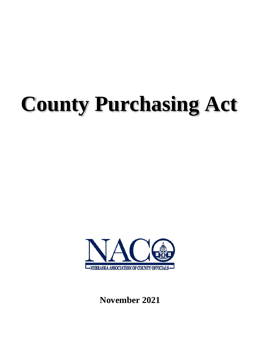# **County Purchasing Act**



**November 2021**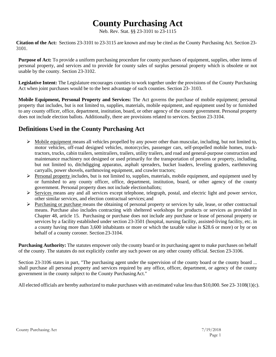# **County Purchasing Act**

Neb. Rev. Stat. §§ 23-3101 to 23-1115

**Citation of the Act:** Sections 23-3101 to 23-3115 are known and may be cited as the County Purchasing Act. Section 23- 3101.

**Purpose of Act:** To provide a uniform purchasing procedure for county purchases of equipment, supplies, other items of personal property, and services and to provide for county sales of surplus personal property which is obsolete or not usable by the county. Section 23-3102.

**Legislative Intent:** The Legislature encourages counties to work together under the provisions of the County Purchasing Act when joint purchases would be to the best advantage of such counties. Section 23- 3103.

**Mobile Equipment, Personal Property and Services:** The Act governs the purchase of mobile equipment; personal property that includes, but is not limited to, supplies, materials, mobile equipment, and equipment used by or furnished to any county officer, office, department, institution, board, or other agency of the county government. Personal property does not include election ballots. Additionally, there are provisions related to services. Section 23-3104.

# **Definitions Used in the County Purchasing Act**

- $\triangleright$  Mobile equipment means all vehicles propelled by any power other than muscular, including, but not limited to, motor vehicles, off-road designed vehicles, motorcycles, passenger cars, self-propelled mobile homes, trucktractors, trucks, cabin trailers, semitrailers, trailers, utility trailers, and road and general-purpose construction and maintenance machinery not designed or used primarily for the transportation of persons or property, including, but not limited to, ditchdigging apparatus, asphalt spreaders, bucket loaders, leveling graders, earthmoving carryalls, power shovels, earthmoving equipment, and crawler tractors;
- $\triangleright$  Personal property includes, but is not limited to, supplies, materials, mobile equipment, and equipment used by or furnished to any county officer, office, department, institution, board, or other agency of the county government. Personal property does not include electionballots;
- Services means any and all services except telephone, telegraph, postal, and electric light and power service, other similar services, and election contractual services; and
- $\triangleright$  Purchasing or purchase means the obtaining of personal property or services by sale, lease, or other contractual means. Purchase also includes contracting with sheltered workshops for products or services as provided in Chapter 48, article 15. Purchasing or purchase does not include any purchase or lease of personal property or services by a facility established under section 23-3501 (hospital, nursing facility, assisted-living facility, etc. in a county having more than 3,600 inhabitants or more or which the taxable value is \$28.6 or more) or by or on behalf of a county coroner. Section 23-3104.

**Purchasing Authority:** The statutes empower only the county board or its purchasing agent to make purchases on behalf of the county. The statutes do not explicitly confer any such power on any other county official. Section 23-3106.

Section 23-3106 states in part, "The purchasing agent under the supervision of the county board or the county board ... shall purchase all personal property and services required by any office, officer, department, or agency of the county government in the county subject to the County PurchasingAct."

All elected officials are hereby authorized to make purchases with an estimated value less than \$10,000. See 23- 3108(1)(c).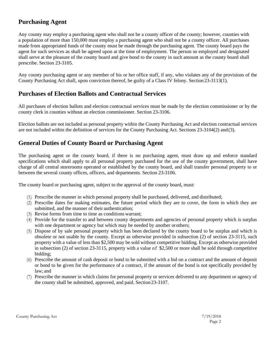# **Purchasing Agent**

Any county may employ a purchasing agent who shall not be a county officer of the county; however, counties with a population of more than 150,000 must employ a purchasing agent who shall not be a county officer. All purchases made from appropriated funds of the county must be made through the purchasing agent. The county board pays the agent for such services as shall be agreed upon at the time of employment. The person so employed and designated shall serve at the pleasure of the county board and give bond to the county in such amount as the county board shall prescribe. Section 23-3105.

Any county purchasing agent or any member of his or her office staff, if any, who violates any of the provisions of the County Purchasing Act shall, upon conviction thereof, be guilty of a Class IV felony. Section 23-3113(1).

# **Purchases of Election Ballots and Contractual Services**

All purchases of election ballots and election contractual services must be made by the election commissioner or by the county clerk in counties without an election commissioner. Section 23-3106.

Election ballots are not included as personal property within the County Purchasing Act and election contractual services are not included within the definition of services for the County Purchasing Act. Sections 23-3104(2) and(3).

# **General Duties of County Board or Purchasing Agent**

The purchasing agent or the county board, if there is no purchasing agent, must draw up and enforce standard specifications which shall apply to all personal property purchased for the use of the county government, shall have charge of all central storerooms operated or established by the county board, and shall transfer personal property to or between the several county offices, officers, and departments. Section 23-3106.

The county board or purchasing agent, subject to the approval of the county board, must:

- (1) Prescribe the manner in which personal property shall be purchased, delivered, and distributed;
- (2) Prescribe dates for making estimates, the future period which they are to cover, the form in which they are submitted, and the manner of their authentication;
- (3) Revise forms from time to time as conditions warrant;
- (4) Provide for the transfer to and between county departments and agencies of personal property which is surplus with one department or agency but which may be needed by another or others;
- (5) Dispose of by sale personal property which has been declared by the county board to be surplus and which is obsolete or not usable by the county. Except as otherwise provided in subsection (2) of section [23-3115,](http://www.nebraskalegislature.gov/laws/statutes.php?statute=23-3115) such property with a value of less than \$2,500 may be sold without competitive bidding. Except as otherwise provided in subsection (2) of section [23-3115,](http://www.nebraskalegislature.gov/laws/statutes.php?statute=23-3115) property with a value of \$2,500 or more shall be sold through competitive bidding;
- (6) Prescribe the amount of cash deposit or bond to be submitted with a bid on a contract and the amount of deposit or bond to be given for the performance of a contract, if the amount of the bond is not specifically provided by law; and
- (7) Prescribe the manner in which claims for personal property or services delivered to any department or agency of the county shall be submitted, approved, and paid. Section23-3107.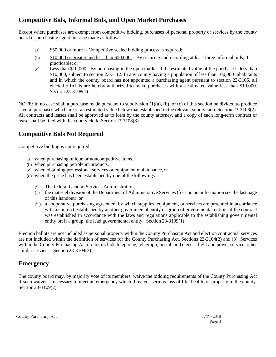# **Competitive Bids, Informal Bids, and Open Market Purchases**

Except where purchases are exempt from competitive bidding, purchases of personal property or services by the county board or purchasing agent must be made as follows:

- (a) \$50,000 or more -- Competitive sealed bidding process isrequired;
- (b) \$10,000 or greater and less than \$50,000 -- By securing and recording at least three informal bids, if practicable; or
- (c) Less than \$10,000 By purchasing in the open market if the estimated value of the purchase is less than \$10,000, subject to section 23-3112. In any county having a population of less than 100,000 inhabitants and in which the county board has not appointed a purchasing agent pursuant to section 23-3105, all elected officials are hereby authorized to make purchases with an estimated value less than \$10,000. Section 23-3108(1).

NOTE: In no case shall a purchase made pursuant to subdivision (1)(a), (b), or (c) of this section be divided to produce several purchases which are of an estimated value below that established in the relevant subdivision. Section 23-3108(2). All contracts and leases shall be approved as to form by the county attorney, and a copy of each long-term contract or lease shall be filed with the county clerk. Section23-3108(3).

# **Competitive Bids Not Required**

Competitive bidding is not required:

- (a) when purchasing unique or noncompetitive items,
- (b) when purchasing petroleum products,
- (c) when obtaining professional services or equipment maintenance, or
- (d) when the price has been established by one of the followings:
	- (i) The federal General Services Administration;
	- (ii) the materiel division of the Department of Administrative Services (for contact information see the last page of this handout); or
	- (iii) a cooperative purchasing agreement by which supplies, equipment, or services are procured in accordance with a contract established by another governmental entity or group of governmental entities if the contract was established in accordance with the laws and regulations applicable to the establishing governmental entity or, if a group, the lead governmental entity. Section 23-3109(1).

Election ballots are not included as personal property within the County Purchasing Act and election contractual services are not included within the definition of services for the County Purchasing Act. Sections 23-3104(2) and (3). Services within the County Purchasing Act do not include telephone, telegraph, postal, and electric light and power service, other similar services. Section 23-3104(3).

# **Emergency**

The county board may, by majority vote of its members, waive the bidding requirements of the County Purchasing Act if such waiver is necessary to meet an emergency which threatens serious loss of life, health, or property in the county. Section 23-3109(2).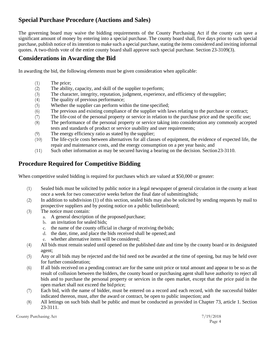# **Special Purchase Procedure (Auctions and Sales)**

The governing board may waive the bidding requirements of the County Purchasing Act if the county can save a significant amount of money by entering into a special purchase. The county board shall, five days prior to such special purchase, publish notice of its intention to make such a special purchase, stating the items considered and inviting informal quotes. A two-thirds vote of the entire county board shall approve such special purchase. Section 23-3109(3).

### **Considerations in Awarding the Bid**

In awarding the bid, the following elements must be given consideration when applicable:

- (1) The price;
- (2) The ability, capacity, and skill of the supplier to perform;<br>(3) The character, integrity, reputation, judgment, experience
- The character, integrity, reputation, judgment, experience, and efficiency of the supplier;
- (4) The quality of previous performance;
- (5) Whether the supplier can perform within the time specified;
- (6) The previous and existing compliance of the supplier with laws relating to the purchase or contract;
- (7) The life-cost of the personal property or service in relation to the purchase price and the specific use;
- (8) The performance of the personal property or service taking into consideration any commonly accepted tests and standards of product or service usability and user requirements;
- (9) The energy efficiency ratio as stated by the supplier;
- (10) The life-cycle costs between alternatives for all classes of equipment, the evidence of expected life, the repair and maintenance costs, and the energy consumption on a per year basis; and
- (11) Such other information as may be secured having a bearing on the decision. Section23-3110.

# **Procedure Required for Competitive Bidding**

When competitive sealed bidding is required for purchases which are valued at \$50,000 or greater:

- (1) Sealed bids must be solicited by public notice in a legal newspaper of general circulation in the county at least once a week for two consecutive weeks before the final date of submittingbids;
- (2) In addition to subdivision (1) of this section, sealed bids may also be solicited by sending requests by mail to prospective suppliers and by posting notice on a public bulletinboard;
- (3) The notice must contain:
	- a. A general description of the proposed purchase;
	- b. an invitation for sealed bids;
	- c. the name of the county official in charge of receiving thebids;
	- d. the date, time, and place the bids received shall be opened; and
	- e. whether alternative items will be considered;
- (4) All bids must remain sealed until opened on the published date and time by the county board or its designated agent;
- (5) Any or all bids may be rejected and the bid need not be awarded at the time of opening, but may be held over for further consideration;
- (6) If all bids received on a pending contract are for the same unit price or total amount and appear to be so as the result of collusion between the bidders, the county board or purchasing agent shall have authority to reject all bids and to purchase the personal property or services in the open market, except that the price paid in the open market shall not exceed the bid price;
- (7) Each bid, with the name of bidder, must be entered on a record and each record, with the successful bidder indicated thereon, must, after the award or contract, be open to public inspection; and
- (8) All lettings on such bids shall be public and must be conducted as provided in Chapter 73, article 1. Section 23-3111.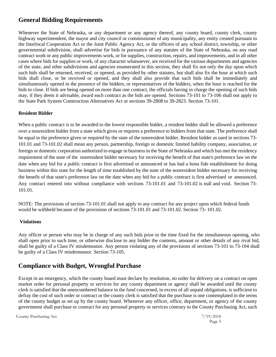# **General Bidding Requirements**

Whenever the State of Nebraska, or any department or any agency thereof, any county board, county clerk, county highway superintendent, the mayor and city council or commissioner of any municipality, any entity created pursuant to the Interlocal Cooperation Act or the Joint Public Agency Act, or the officers of any school district, township, or other governmental subdivision, shall advertise for bids in pursuance of any statutes of the State of Nebraska, on any road contract work or any public improvements work, or for supplies, construction, repairs, and improvements, and in all other cases where bids for supplies or work, of any character whatsoever, are received for the various departments and agencies of the state, and other subdivisions and agencies enumerated in this section, they shall fix not only the day upon which such bids shall be returned, received, or opened, as provided by other statutes, but shall also fix the hour at which such bids shall close, or be received or opened, and they shall also provide that such bids shall be immediately and simultaneously opened in the presence of the bidders, or representatives of the bidders, when the hour is reached for the bids to close. If bids are being opened on more than one contract, the officials having in charge the opening of such bids may, if they deem it advisable, award each contract as the bids are opened. Sections 73-101 to 73-106 shall not apply to the State Park System Construction Alternatives Act or sections 39-2808 to 39-2823. Section 73-101.

#### **Resident Bidder**

When a public contract is to be awarded to the lowest responsible bidder, a resident bidder shall be allowed a preference over a nonresident bidder from a state which gives or requires a preference to bidders from that state. The preference shall be equal to the preference given or required by the state of the nonresident bidder. Resident bidder as used in sections 73- 101.01 and 73-101.02 shall mean any person, partnership, foreign or domestic limited liability company, association, or foreign or domestic corporation authorized to engage in business in the State of Nebraska and which has met the residency requirement of the state of the nonresident bidder necessary for receiving the benefit of that state's preference law on the date when any bid for a public contract is first advertised or announced or has had a bona fide establishment for doing business within this state for the length of time established by the state of the nonresident bidder necessary for receiving the benefit of that state's preference law on the date when any bid for a public contract is first advertised or announced. Any contract entered into without compliance with sections 73-101.01 and 73-101.02 is null and void. Section 73- 101.01.

NOTE: The provisions of section 73-101.01 shall not apply to any contract for any project upon which federal funds would be withheld because of the provisions of sections 73-101.01 and 73-101.02. Section 73- 101.02.

#### **Violations**

Any officer or person who may be in charge of any such bids prior to the time fixed for the simultaneous opening, who shall open prior to such time, or otherwise disclose to any bidder the contents, amount or other details of any rival bid, shall be guilty of a Class IV misdemeanor. Any person violating any of the provisions of sections 73-101 to 73-104 shall be guilty of a Class IV misdemeanor. Section 73-105.

# **Compliance with Budget, Wrongful Purchase**

Except in an emergency, which the county board must declare by resolution, no order for delivery on a contract on open market order for personal property or services for any county department or agency shall be awarded until the county clerk is satisfied that the unencumbered balance in the fund concerned, in excess of all unpaid obligations, is sufficient to defray the cost of such order or contract or the county clerk is satisfied that the purchase is one contemplated in the terms of the county budget as set up by the county board. Whenever any officer, office, department, or agency of the county government shall purchase or contract for any personal property or services contrary to the County Purchasing Act, such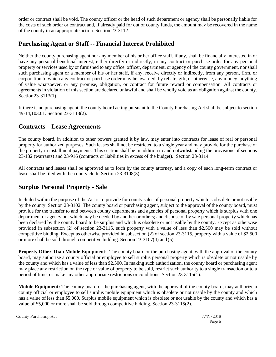order or contract shall be void. The county officer or the head of such department or agency shall be personally liable for the costs of such order or contract and, if already paid for out of county funds, the amount may be recovered in the name of the county in an appropriate action. Section 23-3112.

# **Purchasing Agent or Staff -- Financial Interest Prohibited**

Neither the county purchasing agent nor any member of his or her office staff, if any, shall be financially interested in or have any personal beneficial interest, either directly or indirectly, in any contract or purchase order for any personal property or services used by or furnished to any office, officer, department, or agency of the county government, nor shall such purchasing agent or a member of his or her staff, if any, receive directly or indirectly, from any person, firm, or corporation to which any contract or purchase order may be awarded, by rebate, gift, or otherwise, any money, anything of value whatsoever, or any promise, obligation, or contract for future reward or compensation. All contracts or agreements in violation of this section are declared unlawful and shall be wholly void as an obligation against the county. Section23-3113(1).

If there is no purchasing agent, the county board acting pursuant to the County Purchasing Act shall be subject to section 49-14,103.01. Section 23-3113(2).

# **Contracts – Lease Agreements**

The county board, in addition to other powers granted it by law, may enter into contracts for lease of real or personal property for authorized purposes. Such leases shall not be restricted to a single year and may provide for the purchase of the property in installment payments. This section shall be in addition to and notwithstanding the provisions of sections 23-132 (warrants) and 23-916 (contracts or liabilities in excess of the budget). Section 23-3114.

All contracts and leases shall be approved as to form by the county attorney, and a copy of each long-term contract or lease shall be filed with the county clerk. Section 23-3108(3).

# **Surplus Personal Property - Sale**

Included within the purpose of the Act is to provide for county sales of personal property which is obsolete or not usable by the county. Section 23-3102. The county board or purchasing agent, subject to the approval of the county board, must provide for the transfer to and between county departments and agencies of personal property which is surplus with one department or agency but which may be needed by another or others; and dispose of by sale personal property which has been declared by the county board to be surplus and which is obsolete or not usable by the county. Except as otherwise provided in subsection (2) of section [23-3115,](http://www.nebraskalegislature.gov/laws/statutes.php?statute=23-3115) such property with a value of less than \$2,500 may be sold without competitive bidding. Except as otherwise provided in subsection (2) of section [23-3115,](http://www.nebraskalegislature.gov/laws/statutes.php?statute=23-3115) property with a value of \$2,500 or more shall be sold through competitive bidding. Section 23-3107(4) and (5).

**Property Other Than Mobile Equipment:** The county board or the purchasing agent, with the approval of the county board, may authorize a county official or employee to sell surplus personal property which is obsolete or not usable by the county and which has a value of less than \$2,500. In making such authorization, the county board or purchasing agent may place any restriction on the type or value of property to be sold, restrict such authority to a single transaction or to a period of time, or make any other appropriate restrictions or conditions. Section 23-3115(1).

**Mobile Equipment:** The county board or the purchasing agent, with the approval of the county board, may authorize a county official or employee to sell surplus mobile equipment which is obsolete or not usable by the county and which has a value of less than \$5,000. Surplus mobile equipment which is obsolete or not usable by the county and which has a value of \$5,000 or more shall be sold through competitive bidding. Section 23-3115(2).